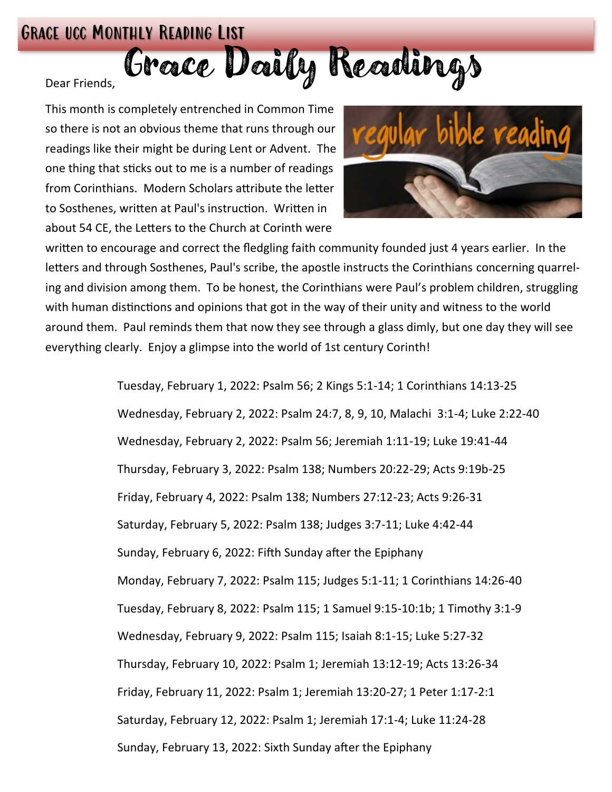## Grace ucc Monthly Reading List

Dear Friends, Grozce Douly Readings

This month is completely entrenched in Common Time so there is not an obvious theme that runs through our readings like their might be during Lent or Advent. The one thing that sticks out to me is a number of readings from Corinthians. Modern Scholars attribute the letter to Sosthenes, written at Paul's instruction. Written in about 54 CE, the Letters to the Church at Corinth were



written to encourage and correct the fledgling faith community founded just 4 years earlier. In the letters and through Sosthenes, Paul's scribe, the apostle instructs the Corinthians concerning quarreling and division among them. To be honest, the Corinthians were Paul's problem children, struggling with human distinctions and opinions that got in the way of their unity and witness to the world around them. Paul reminds them that now they see through a glass dimly, but one day they will see everything clearly. Enjoy a glimpse into the world of 1st century Corinth!

> Tuesday, February 1, 2022: Psalm 56; 2 Kings 5:1-14; 1 Corinthians 14:13-25 Wednesday, February 2, 2022: Psalm 24:7, 8, 9, 10, Malachi 3:1-4; Luke 2:22-40 Wednesday, February 2, 2022: Psalm 56; Jeremiah 1:11-19; Luke 19:41-44 Thursday, February 3, 2022: Psalm 138; Numbers 20:22-29; Acts 9:19b-25 Friday, February 4, 2022: Psalm 138; Numbers 27:12-23; Acts 9:26-31 Saturday, February 5, 2022: Psalm 138; Judges 3:7-11; Luke 4:42-44 Sunday, February 6, 2022: Fifth Sunday after the Epiphany Monday, February 7, 2022: Psalm 115; Judges 5:1-11; 1 Corinthians 14:26-40 Tuesday, February 8, 2022: Psalm 115; 1 Samuel 9:15-10:1b; 1 Timothy 3:1-9 Wednesday, February 9, 2022: Psalm 115; Isaiah 8:1-15; Luke 5:27-32 Thursday, February 10, 2022: Psalm 1; Jeremiah 13:12-19; Acts 13:26-34 Friday, February 11, 2022: Psalm 1; Jeremiah 13:20-27; 1 Peter 1:17-2:1 Saturday, February 12, 2022: Psalm 1; Jeremiah 17:1-4; Luke 11:24-28 Sunday, February 13, 2022: Sixth Sunday after the Epiphany